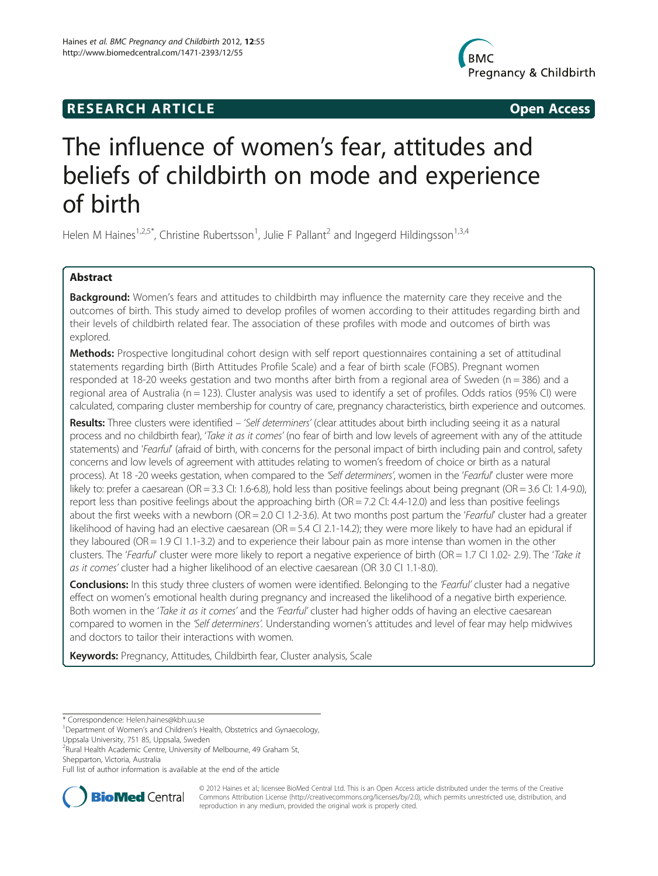## **RESEARCH ARTICLE Example 2008 CONSIDERING A RESEARCH ARTICLE**



# The influence of women's fear, attitudes and beliefs of childbirth on mode and experience of birth

Helen M Haines<sup>1,2,5\*</sup>, Christine Rubertsson<sup>1</sup>, Julie F Pallant<sup>2</sup> and Ingegerd Hildingsson<sup>1,3,4</sup>

## Abstract

Background: Women's fears and attitudes to childbirth may influence the maternity care they receive and the outcomes of birth. This study aimed to develop profiles of women according to their attitudes regarding birth and their levels of childbirth related fear. The association of these profiles with mode and outcomes of birth was explored.

Methods: Prospective longitudinal cohort design with self report questionnaires containing a set of attitudinal statements regarding birth (Birth Attitudes Profile Scale) and a fear of birth scale (FOBS). Pregnant women responded at 18-20 weeks gestation and two months after birth from a regional area of Sweden ( $n = 386$ ) and a regional area of Australia (n = 123). Cluster analysis was used to identify a set of profiles. Odds ratios (95% CI) were calculated, comparing cluster membership for country of care, pregnancy characteristics, birth experience and outcomes.

Results: Three clusters were identified – 'Self determiners' (clear attitudes about birth including seeing it as a natural process and no childbirth fear), 'Take it as it comes' (no fear of birth and low levels of agreement with any of the attitude statements) and 'Fearful' (afraid of birth, with concerns for the personal impact of birth including pain and control, safety concerns and low levels of agreement with attitudes relating to women's freedom of choice or birth as a natural process). At 18 -20 weeks gestation, when compared to the 'Self determiners', women in the 'Fearful' cluster were more likely to: prefer a caesarean (OR = 3.3 CI: 1.6-6.8), hold less than positive feelings about being pregnant (OR = 3.6 CI: 1.4-9.0), report less than positive feelings about the approaching birth  $(OR = 7.2 \text{ CI: } 4.4-12.0)$  and less than positive feelings about the first weeks with a newborn (OR = 2.0 CI 1.2-3.6). At two months post partum the 'Fearful' cluster had a greater likelihood of having had an elective caesarean (OR = 5.4 CI 2.1-14.2); they were more likely to have had an epidural if they laboured (OR = 1.9 CI 1.1-3.2) and to experience their labour pain as more intense than women in the other clusters. The 'Fearful' cluster were more likely to report a negative experience of birth (OR = 1.7 CI 1.02- 2.9). The 'Take it as it comes' cluster had a higher likelihood of an elective caesarean (OR 3.0 CI 1.1-8.0).

Conclusions: In this study three clusters of women were identified. Belonging to the 'Fearful' cluster had a negative effect on women's emotional health during pregnancy and increased the likelihood of a negative birth experience. Both women in the 'Take it as it comes' and the 'Fearful' cluster had higher odds of having an elective caesarean compared to women in the 'Self determiners'. Understanding women's attitudes and level of fear may help midwives and doctors to tailor their interactions with women.

Keywords: Pregnancy, Attitudes, Childbirth fear, Cluster analysis, Scale

<sup>2</sup> Rural Health Academic Centre, University of Melbourne, 49 Graham St, Shepparton, Victoria, Australia

Full list of author information is available at the end of the article



© 2012 Haines et al.; licensee BioMed Central Ltd. This is an Open Access article distributed under the terms of the Creative Commons Attribution License ([http://creativecommons.org/licenses/by/2.0\)](http://creativecommons.org/licenses/by/2.0), which permits unrestricted use, distribution, and reproduction in any medium, provided the original work is properly cited.

<sup>\*</sup> Correspondence: [Helen.haines@kbh.uu.se](mailto:Helen.haines@kbh.uu.se) <sup>1</sup>

<sup>&</sup>lt;sup>1</sup>Department of Women's and Children's Health, Obstetrics and Gynaecology, Uppsala University, 751 85, Uppsala, Sweden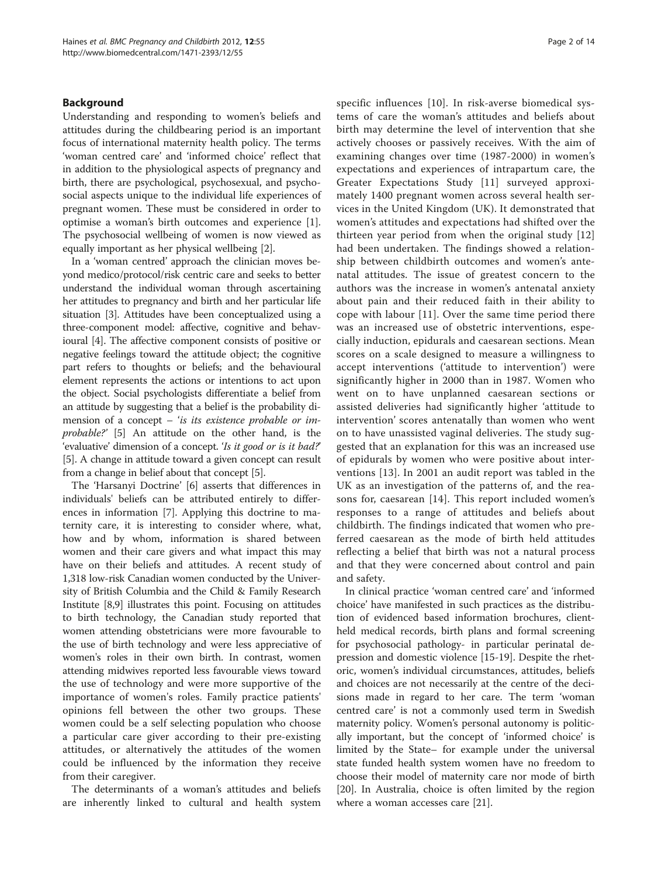## Background

Understanding and responding to women's beliefs and attitudes during the childbearing period is an important focus of international maternity health policy. The terms 'woman centred care' and 'informed choice' reflect that in addition to the physiological aspects of pregnancy and birth, there are psychological, psychosexual, and psychosocial aspects unique to the individual life experiences of pregnant women. These must be considered in order to optimise a woman's birth outcomes and experience [\[1](#page-12-0)]. The psychosocial wellbeing of women is now viewed as equally important as her physical wellbeing [\[2\]](#page-12-0).

In a 'woman centred' approach the clinician moves beyond medico/protocol/risk centric care and seeks to better understand the individual woman through ascertaining her attitudes to pregnancy and birth and her particular life situation [\[3](#page-12-0)]. Attitudes have been conceptualized using a three-component model: affective, cognitive and behavioural [\[4\]](#page-12-0). The affective component consists of positive or negative feelings toward the attitude object; the cognitive part refers to thoughts or beliefs; and the behavioural element represents the actions or intentions to act upon the object. Social psychologists differentiate a belief from an attitude by suggesting that a belief is the probability dimension of a concept  $-$  'is its existence probable or improbable?' [\[5\]](#page-12-0) An attitude on the other hand, is the 'evaluative' dimension of a concept. 'Is it good or is it bad?' [[5\]](#page-12-0). A change in attitude toward a given concept can result from a change in belief about that concept [[5](#page-12-0)].

The 'Harsanyi Doctrine' [[6](#page-12-0)] asserts that differences in individuals' beliefs can be attributed entirely to differences in information [\[7](#page-12-0)]. Applying this doctrine to maternity care, it is interesting to consider where, what, how and by whom, information is shared between women and their care givers and what impact this may have on their beliefs and attitudes. A recent study of 1,318 low-risk Canadian women conducted by the University of British Columbia and the Child & Family Research Institute [[8,9\]](#page-12-0) illustrates this point. Focusing on attitudes to birth technology, the Canadian study reported that women attending obstetricians were more favourable to the use of birth technology and were less appreciative of women's roles in their own birth. In contrast, women attending midwives reported less favourable views toward the use of technology and were more supportive of the importance of women's roles. Family practice patients' opinions fell between the other two groups. These women could be a self selecting population who choose a particular care giver according to their pre-existing attitudes, or alternatively the attitudes of the women could be influenced by the information they receive from their caregiver.

The determinants of a woman's attitudes and beliefs are inherently linked to cultural and health system specific influences [\[10](#page-12-0)]. In risk-averse biomedical systems of care the woman's attitudes and beliefs about birth may determine the level of intervention that she actively chooses or passively receives. With the aim of examining changes over time (1987-2000) in women's expectations and experiences of intrapartum care, the Greater Expectations Study [[11\]](#page-12-0) surveyed approximately 1400 pregnant women across several health services in the United Kingdom (UK). It demonstrated that women's attitudes and expectations had shifted over the thirteen year period from when the original study [\[12](#page-12-0)] had been undertaken. The findings showed a relationship between childbirth outcomes and women's antenatal attitudes. The issue of greatest concern to the authors was the increase in women's antenatal anxiety about pain and their reduced faith in their ability to cope with labour [[11](#page-12-0)]. Over the same time period there was an increased use of obstetric interventions, especially induction, epidurals and caesarean sections. Mean scores on a scale designed to measure a willingness to accept interventions ('attitude to intervention') were significantly higher in 2000 than in 1987. Women who went on to have unplanned caesarean sections or assisted deliveries had significantly higher 'attitude to intervention' scores antenatally than women who went on to have unassisted vaginal deliveries. The study suggested that an explanation for this was an increased use of epidurals by women who were positive about interventions [\[13\]](#page-12-0). In 2001 an audit report was tabled in the UK as an investigation of the patterns of, and the reasons for, caesarean [[14\]](#page-12-0). This report included women's responses to a range of attitudes and beliefs about childbirth. The findings indicated that women who preferred caesarean as the mode of birth held attitudes reflecting a belief that birth was not a natural process and that they were concerned about control and pain and safety.

In clinical practice 'woman centred care' and 'informed choice' have manifested in such practices as the distribution of evidenced based information brochures, clientheld medical records, birth plans and formal screening for psychosocial pathology- in particular perinatal depression and domestic violence [\[15](#page-12-0)-[19](#page-12-0)]. Despite the rhetoric, women's individual circumstances, attitudes, beliefs and choices are not necessarily at the centre of the decisions made in regard to her care. The term 'woman centred care' is not a commonly used term in Swedish maternity policy. Women's personal autonomy is politically important, but the concept of 'informed choice' is limited by the State– for example under the universal state funded health system women have no freedom to choose their model of maternity care nor mode of birth [[20\]](#page-12-0). In Australia, choice is often limited by the region where a woman accesses care [\[21\]](#page-12-0).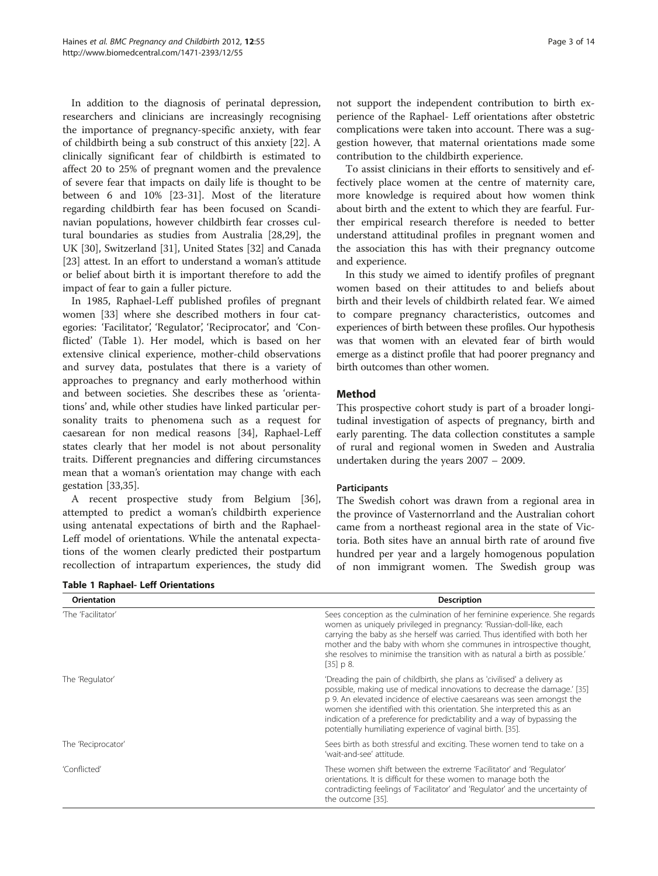In addition to the diagnosis of perinatal depression, researchers and clinicians are increasingly recognising the importance of pregnancy-specific anxiety, with fear of childbirth being a sub construct of this anxiety [[22](#page-12-0)]. A clinically significant fear of childbirth is estimated to affect 20 to 25% of pregnant women and the prevalence of severe fear that impacts on daily life is thought to be between 6 and 10% [[23](#page-12-0)-[31\]](#page-12-0). Most of the literature regarding childbirth fear has been focused on Scandinavian populations, however childbirth fear crosses cultural boundaries as studies from Australia [[28,29](#page-12-0)], the UK [\[30](#page-12-0)], Switzerland [[31\]](#page-12-0), United States [\[32](#page-12-0)] and Canada [[23\]](#page-12-0) attest. In an effort to understand a woman's attitude or belief about birth it is important therefore to add the impact of fear to gain a fuller picture.

In 1985, Raphael-Leff published profiles of pregnant women [\[33](#page-12-0)] where she described mothers in four categories: 'Facilitator', 'Regulator', 'Reciprocator', and 'Conflicted' (Table 1). Her model, which is based on her extensive clinical experience, mother-child observations and survey data, postulates that there is a variety of approaches to pregnancy and early motherhood within and between societies. She describes these as 'orientations' and, while other studies have linked particular personality traits to phenomena such as a request for caesarean for non medical reasons [\[34\]](#page-12-0), Raphael-Leff states clearly that her model is not about personality traits. Different pregnancies and differing circumstances mean that a woman's orientation may change with each gestation [\[33](#page-12-0)[,35\]](#page-13-0).

A recent prospective study from Belgium [\[36](#page-13-0)], attempted to predict a woman's childbirth experience using antenatal expectations of birth and the Raphael-Leff model of orientations. While the antenatal expectations of the women clearly predicted their postpartum recollection of intrapartum experiences, the study did

not support the independent contribution to birth experience of the Raphael- Leff orientations after obstetric complications were taken into account. There was a suggestion however, that maternal orientations made some contribution to the childbirth experience.

To assist clinicians in their efforts to sensitively and effectively place women at the centre of maternity care, more knowledge is required about how women think about birth and the extent to which they are fearful. Further empirical research therefore is needed to better understand attitudinal profiles in pregnant women and the association this has with their pregnancy outcome and experience.

In this study we aimed to identify profiles of pregnant women based on their attitudes to and beliefs about birth and their levels of childbirth related fear. We aimed to compare pregnancy characteristics, outcomes and experiences of birth between these profiles. Our hypothesis was that women with an elevated fear of birth would emerge as a distinct profile that had poorer pregnancy and birth outcomes than other women.

## Method

This prospective cohort study is part of a broader longitudinal investigation of aspects of pregnancy, birth and early parenting. The data collection constitutes a sample of rural and regional women in Sweden and Australia undertaken during the years 2007 – 2009.

## **Participants**

The Swedish cohort was drawn from a regional area in the province of Vasternorrland and the Australian cohort came from a northeast regional area in the state of Victoria. Both sites have an annual birth rate of around five hundred per year and a largely homogenous population of non immigrant women. The Swedish group was

| <b>Orientation</b> | <b>Description</b>                                                                                                                                                                                                                                                                                                                                                                                                                                  |  |  |  |
|--------------------|-----------------------------------------------------------------------------------------------------------------------------------------------------------------------------------------------------------------------------------------------------------------------------------------------------------------------------------------------------------------------------------------------------------------------------------------------------|--|--|--|
| 'The 'Facilitator' | Sees conception as the culmination of her feminine experience. She regards<br>women as uniquely privileged in pregnancy: 'Russian-doll-like, each<br>carrying the baby as she herself was carried. Thus identified with both her<br>mother and the baby with whom she communes in introspective thought,<br>she resolves to minimise the transition with as natural a birth as possible.<br>$[35]$ p 8.                                             |  |  |  |
| The 'Regulator'    | 'Dreading the pain of childbirth, she plans as 'civilised' a delivery as<br>possible, making use of medical innovations to decrease the damage.' [35]<br>p 9. An elevated incidence of elective caesareans was seen amongst the<br>women she identified with this orientation. She interpreted this as an<br>indication of a preference for predictability and a way of bypassing the<br>potentially humiliating experience of vaginal birth. [35]. |  |  |  |
| The 'Reciprocator' | Sees birth as both stressful and exciting. These women tend to take on a<br>'wait-and-see' attitude.                                                                                                                                                                                                                                                                                                                                                |  |  |  |
| 'Conflicted'       | These women shift between the extreme 'Facilitator' and 'Regulator'<br>orientations. It is difficult for these women to manage both the<br>contradicting feelings of 'Facilitator' and 'Regulator' and the uncertainty of<br>the outcome [35].                                                                                                                                                                                                      |  |  |  |

Table 1 Raphael- Leff Orientations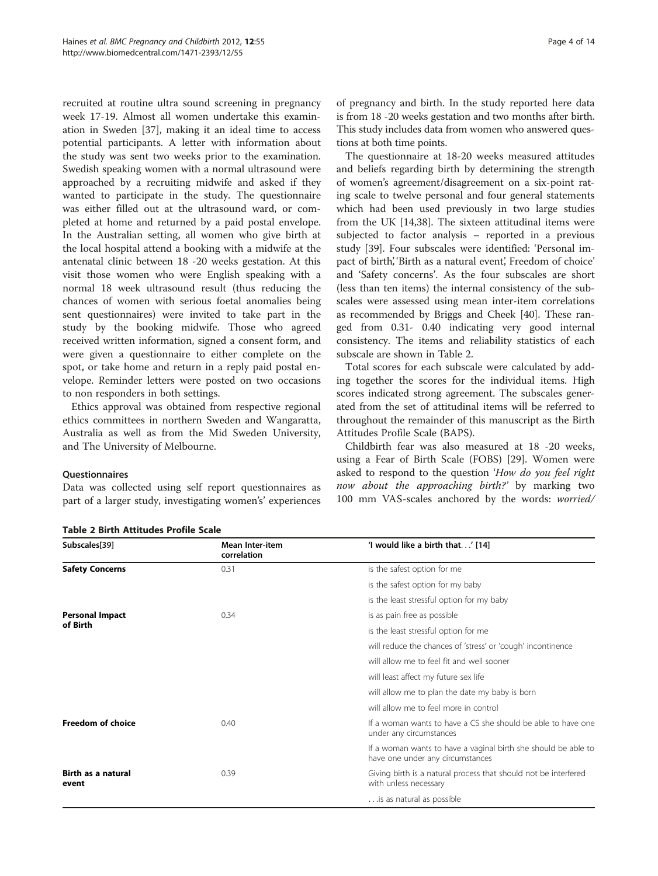recruited at routine ultra sound screening in pregnancy week 17-19. Almost all women undertake this examination in Sweden [\[37](#page-13-0)], making it an ideal time to access potential participants. A letter with information about the study was sent two weeks prior to the examination. Swedish speaking women with a normal ultrasound were approached by a recruiting midwife and asked if they wanted to participate in the study. The questionnaire was either filled out at the ultrasound ward, or completed at home and returned by a paid postal envelope. In the Australian setting, all women who give birth at the local hospital attend a booking with a midwife at the antenatal clinic between 18 -20 weeks gestation. At this visit those women who were English speaking with a normal 18 week ultrasound result (thus reducing the chances of women with serious foetal anomalies being sent questionnaires) were invited to take part in the study by the booking midwife. Those who agreed received written information, signed a consent form, and were given a questionnaire to either complete on the spot, or take home and return in a reply paid postal envelope. Reminder letters were posted on two occasions to non responders in both settings.

Ethics approval was obtained from respective regional ethics committees in northern Sweden and Wangaratta, Australia as well as from the Mid Sweden University, and The University of Melbourne.

## **Ouestionnaires**

Data was collected using self report questionnaires as part of a larger study, investigating women's' experiences

of pregnancy and birth. In the study reported here data is from 18 -20 weeks gestation and two months after birth. This study includes data from women who answered questions at both time points.

The questionnaire at 18-20 weeks measured attitudes and beliefs regarding birth by determining the strength of women's agreement/disagreement on a six-point rating scale to twelve personal and four general statements which had been used previously in two large studies from the UK [\[14](#page-12-0)[,38](#page-13-0)]. The sixteen attitudinal items were subjected to factor analysis – reported in a previous study [[39](#page-13-0)]. Four subscales were identified: 'Personal impact of birth', 'Birth as a natural event', Freedom of choice' and 'Safety concerns'. As the four subscales are short (less than ten items) the internal consistency of the subscales were assessed using mean inter-item correlations as recommended by Briggs and Cheek [\[40\]](#page-13-0). These ranged from 0.31- 0.40 indicating very good internal consistency. The items and reliability statistics of each subscale are shown in Table 2.

Total scores for each subscale were calculated by adding together the scores for the individual items. High scores indicated strong agreement. The subscales generated from the set of attitudinal items will be referred to throughout the remainder of this manuscript as the Birth Attitudes Profile Scale (BAPS).

Childbirth fear was also measured at 18 -20 weeks, using a Fear of Birth Scale (FOBS) [\[29](#page-12-0)]. Women were asked to respond to the question 'How do you feel right now about the approaching birth?' by marking two 100 mm VAS-scales anchored by the words: worried/

| <b>Mean Inter-item</b><br>Subscales[39]<br>correlation |      | 'I would like a birth that' [14]                                                                   |
|--------------------------------------------------------|------|----------------------------------------------------------------------------------------------------|
| <b>Safety Concerns</b><br>0.31                         |      | is the safest option for me                                                                        |
|                                                        |      | is the safest option for my baby                                                                   |
|                                                        |      | is the least stressful option for my baby                                                          |
| <b>Personal Impact</b>                                 | 0.34 | is as pain free as possible                                                                        |
| of Birth                                               |      | is the least stressful option for me                                                               |
|                                                        |      | will reduce the chances of 'stress' or 'cough' incontinence                                        |
|                                                        |      | will allow me to feel fit and well sooner                                                          |
|                                                        |      | will least affect my future sex life                                                               |
|                                                        |      | will allow me to plan the date my baby is born                                                     |
|                                                        |      | will allow me to feel more in control                                                              |
| <b>Freedom of choice</b>                               | 0.40 | If a woman wants to have a CS she should be able to have one<br>under any circumstances            |
|                                                        |      | If a woman wants to have a vaginal birth she should be able to<br>have one under any circumstances |
| Birth as a natural<br>event                            | 0.39 | Giving birth is a natural process that should not be interfered<br>with unless necessary           |
|                                                        |      | is as natural as possible                                                                          |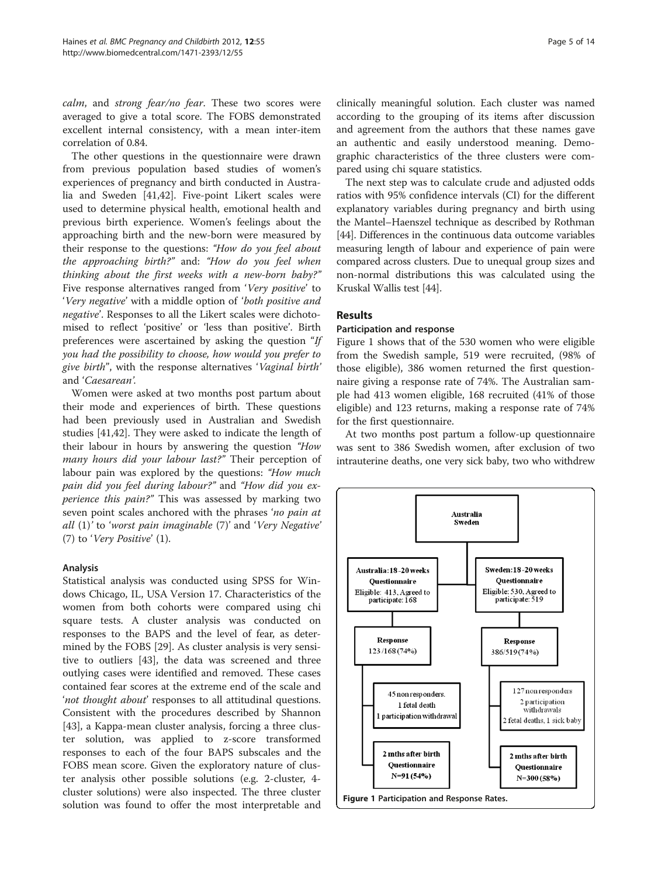calm, and strong fear/no fear. These two scores were averaged to give a total score. The FOBS demonstrated excellent internal consistency, with a mean inter-item correlation of 0.84.

The other questions in the questionnaire were drawn from previous population based studies of women's experiences of pregnancy and birth conducted in Australia and Sweden [[41](#page-13-0),[42](#page-13-0)]. Five-point Likert scales were used to determine physical health, emotional health and previous birth experience. Women's feelings about the approaching birth and the new-born were measured by their response to the questions: "How do you feel about the approaching birth?" and: "How do you feel when thinking about the first weeks with a new-born baby?" Five response alternatives ranged from 'Very positive' to 'Very negative' with a middle option of 'both positive and negative'. Responses to all the Likert scales were dichotomised to reflect 'positive' or 'less than positive'. Birth preferences were ascertained by asking the question "If you had the possibility to choose, how would you prefer to give birth", with the response alternatives 'Vaginal birth' and 'Caesarean'.

Women were asked at two months post partum about their mode and experiences of birth. These questions had been previously used in Australian and Swedish studies [[41,42\]](#page-13-0). They were asked to indicate the length of their labour in hours by answering the question "How many hours did your labour last?" Their perception of labour pain was explored by the questions: "How much pain did you feel during labour?" and "How did you experience this pain?" This was assessed by marking two seven point scales anchored with the phrases 'no pain at all (1)' to 'worst pain imaginable (7)' and 'Very Negative' (7) to 'Very Positive' (1).

## Analysis

Statistical analysis was conducted using SPSS for Windows Chicago, IL, USA Version 17. Characteristics of the women from both cohorts were compared using chi square tests. A cluster analysis was conducted on responses to the BAPS and the level of fear, as determined by the FOBS [[29](#page-12-0)]. As cluster analysis is very sensitive to outliers [\[43](#page-13-0)], the data was screened and three outlying cases were identified and removed. These cases contained fear scores at the extreme end of the scale and 'not thought about' responses to all attitudinal questions. Consistent with the procedures described by Shannon [[43\]](#page-13-0), a Kappa-mean cluster analysis, forcing a three cluster solution, was applied to z-score transformed responses to each of the four BAPS subscales and the FOBS mean score. Given the exploratory nature of cluster analysis other possible solutions (e.g. 2-cluster, 4 cluster solutions) were also inspected. The three cluster solution was found to offer the most interpretable and clinically meaningful solution. Each cluster was named according to the grouping of its items after discussion and agreement from the authors that these names gave an authentic and easily understood meaning. Demographic characteristics of the three clusters were compared using chi square statistics.

The next step was to calculate crude and adjusted odds ratios with 95% confidence intervals (CI) for the different explanatory variables during pregnancy and birth using the Mantel–Haenszel technique as described by Rothman [[44](#page-13-0)]. Differences in the continuous data outcome variables measuring length of labour and experience of pain were compared across clusters. Due to unequal group sizes and non-normal distributions this was calculated using the Kruskal Wallis test [\[44\]](#page-13-0).

## Results

## Participation and response

Figure 1 shows that of the 530 women who were eligible from the Swedish sample, 519 were recruited, (98% of those eligible), 386 women returned the first questionnaire giving a response rate of 74%. The Australian sample had 413 women eligible, 168 recruited (41% of those eligible) and 123 returns, making a response rate of 74% for the first questionnaire.

At two months post partum a follow-up questionnaire was sent to 386 Swedish women, after exclusion of two intrauterine deaths, one very sick baby, two who withdrew

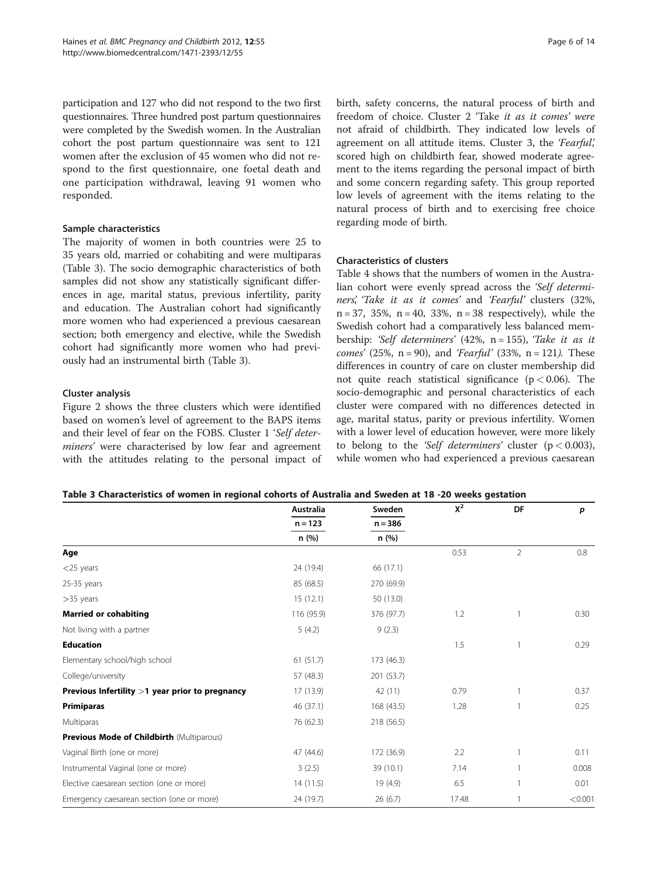participation and 127 who did not respond to the two first questionnaires. Three hundred post partum questionnaires were completed by the Swedish women. In the Australian cohort the post partum questionnaire was sent to 121 women after the exclusion of 45 women who did not respond to the first questionnaire, one foetal death and one participation withdrawal, leaving 91 women who responded.

## Sample characteristics

The majority of women in both countries were 25 to 35 years old, married or cohabiting and were multiparas (Table 3). The socio demographic characteristics of both samples did not show any statistically significant differences in age, marital status, previous infertility, parity and education. The Australian cohort had significantly more women who had experienced a previous caesarean section; both emergency and elective, while the Swedish cohort had significantly more women who had previously had an instrumental birth (Table 3).

## Cluster analysis

Figure [2](#page-6-0) shows the three clusters which were identified based on women's level of agreement to the BAPS items and their level of fear on the FOBS. Cluster 1 'Self determiners' were characterised by low fear and agreement with the attitudes relating to the personal impact of birth, safety concerns, the natural process of birth and freedom of choice. Cluster 2 'Take it as it comes' were not afraid of childbirth. They indicated low levels of agreement on all attitude items. Cluster 3, the 'Fearful', scored high on childbirth fear, showed moderate agreement to the items regarding the personal impact of birth and some concern regarding safety. This group reported low levels of agreement with the items relating to the natural process of birth and to exercising free choice regarding mode of birth.

## Characteristics of clusters

Table [4](#page-7-0) shows that the numbers of women in the Australian cohort were evenly spread across the 'Self determiners', 'Take it as it comes' and 'Fearful' clusters (32%, n = 37, 35%, n = 40, 33%, n = 38 respectively), while the Swedish cohort had a comparatively less balanced membership: 'Self determiners' (42%, n = 155), 'Take it as it *comes'* (25%,  $n = 90$ ), and '*Fearful'* (33%,  $n = 121$ ). These differences in country of care on cluster membership did not quite reach statistical significance ( $p < 0.06$ ). The socio-demographic and personal characteristics of each cluster were compared with no differences detected in age, marital status, parity or previous infertility. Women with a lower level of education however, were more likely to belong to the 'Self determiners' cluster  $(p < 0.003)$ , while women who had experienced a previous caesarean

| Table 3 Characteristics of women in regional cohorts of Australia and Sweden at 18 -20 weeks gestation |  |
|--------------------------------------------------------------------------------------------------------|--|
|--------------------------------------------------------------------------------------------------------|--|

|                                                 | <b>Australia</b><br>$n = 123$ | Sweden     | $X^2$ | DF             | p       |  |
|-------------------------------------------------|-------------------------------|------------|-------|----------------|---------|--|
|                                                 |                               | $n = 386$  |       |                |         |  |
|                                                 | n(%)                          | n (%)      |       |                |         |  |
| Age                                             |                               |            | 0.53  | $\overline{2}$ | 0.8     |  |
| $<$ 25 years                                    | 24 (19.4)                     | 66 (17.1)  |       |                |         |  |
| $25-35$ years                                   | 85 (68.5)                     | 270 (69.9) |       |                |         |  |
| $>35$ years                                     | 15(12.1)                      | 50 (13.0)  |       |                |         |  |
| <b>Married or cohabiting</b>                    | 116 (95.9)                    | 376 (97.7) | 1.2   |                | 0.30    |  |
| Not living with a partner                       | 5(4.2)                        | 9(2.3)     |       |                |         |  |
| <b>Education</b>                                |                               |            | 1.5   |                | 0.29    |  |
| Elementary school/high school                   | 61(51.7)                      | 173 (46.3) |       |                |         |  |
| College/university                              | 57 (48.3)                     | 201 (53.7) |       |                |         |  |
| Previous Infertility >1 year prior to pregnancy | 17 (13.9)                     | 42 (11)    | 0.79  |                | 0.37    |  |
| <b>Primiparas</b>                               | 46 (37.1)                     | 168 (43.5) | 1.28  |                | 0.25    |  |
| Multiparas                                      | 76 (62.3)                     | 218 (56.5) |       |                |         |  |
| Previous Mode of Childbirth (Multiparous)       |                               |            |       |                |         |  |
| Vaginal Birth (one or more)                     | 47 (44.6)                     | 172 (36.9) | 2.2   |                | 0.11    |  |
| Instrumental Vaginal (one or more)              | 3(2.5)                        | 39 (10.1)  | 7.14  |                | 0.008   |  |
| Elective caesarean section (one or more)        | 14(11.5)                      | 19 (4.9)   | 6.5   |                | 0.01    |  |
| Emergency caesarean section (one or more)       | 24 (19.7)                     | 26(6.7)    | 17.48 |                | < 0.001 |  |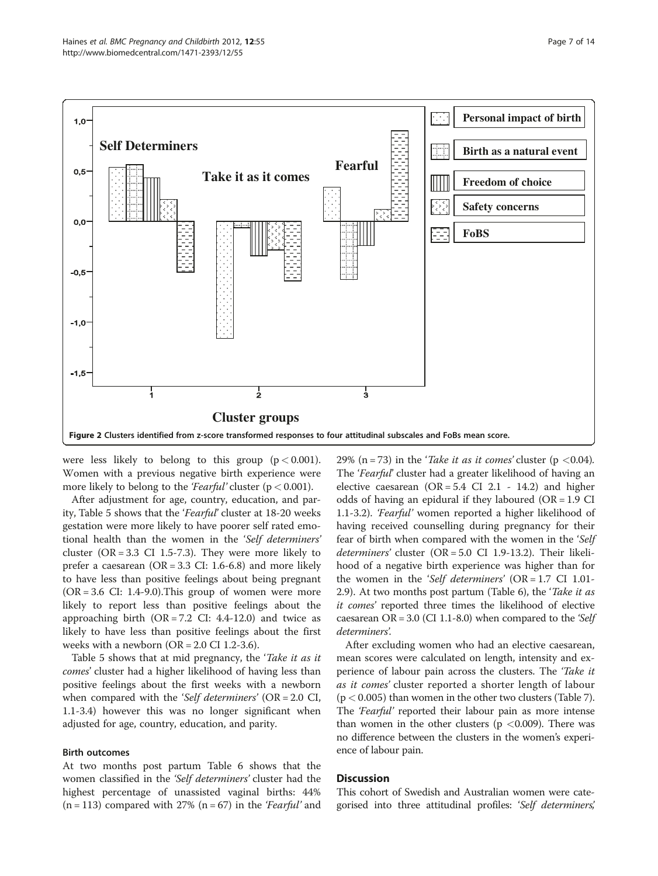<span id="page-6-0"></span>

were less likely to belong to this group  $(p < 0.001)$ . Women with a previous negative birth experience were more likely to belong to the 'Fearful' cluster ( $p < 0.001$ ).

After adjustment for age, country, education, and parity, Table [5](#page-8-0) shows that the 'Fearful' cluster at 18-20 weeks gestation were more likely to have poorer self rated emotional health than the women in the 'Self determiners' cluster ( $OR = 3.3$  CI 1.5-7.3). They were more likely to prefer a caesarean  $(OR = 3.3 \text{ CI: } 1.6-6.8)$  and more likely to have less than positive feelings about being pregnant  $(OR = 3.6 \text{ CI}: 1.4-9.0)$ . This group of women were more likely to report less than positive feelings about the approaching birth  $(OR = 7.2 \text{ CI: } 4.4-12.0)$  and twice as likely to have less than positive feelings about the first weeks with a newborn  $(OR = 2.0 \text{ CI } 1.2-3.6)$ .

Table [5](#page-8-0) shows that at mid pregnancy, the 'Take it as it comes' cluster had a higher likelihood of having less than positive feelings about the first weeks with a newborn when compared with the *'Self determiners'* ( $OR = 2.0$  CI, 1.1-3.4) however this was no longer significant when adjusted for age, country, education, and parity.

### Birth outcomes

At two months post partum Table [6](#page-9-0) shows that the women classified in the 'Self determiners' cluster had the highest percentage of unassisted vaginal births: 44%  $(n = 113)$  compared with 27%  $(n = 67)$  in the 'Fearful' and

29% (n = 73) in the '*Take it as it comes'* cluster (p < 0.04). The 'Fearful' cluster had a greater likelihood of having an elective caesarean  $(OR = 5.4 \text{ CI } 2.1 - 14.2)$  and higher odds of having an epidural if they laboured (OR = 1.9 CI 1.1-3.2). 'Fearful' women reported a higher likelihood of having received counselling during pregnancy for their fear of birth when compared with the women in the 'Self determiners' cluster (OR = 5.0 CI 1.9-13.2). Their likelihood of a negative birth experience was higher than for the women in the 'Self determiners' (OR = 1.7 CI 1.01-2.9). At two months post partum (Table [6\)](#page-9-0), the 'Take it as it comes' reported three times the likelihood of elective caesarean OR =  $3.0$  (CI 1.1-8.0) when compared to the 'Self determiners'.

After excluding women who had an elective caesarean, mean scores were calculated on length, intensity and experience of labour pain across the clusters. The 'Take it as it comes' cluster reported a shorter length of labour  $(p < 0.005)$  than women in the other two clusters (Table [7](#page-10-0)). The *'Fearful'* reported their labour pain as more intense than women in the other clusters ( $p < 0.009$ ). There was no difference between the clusters in the women's experience of labour pain.

### **Discussion**

This cohort of Swedish and Australian women were categorised into three attitudinal profiles: 'Self determiners',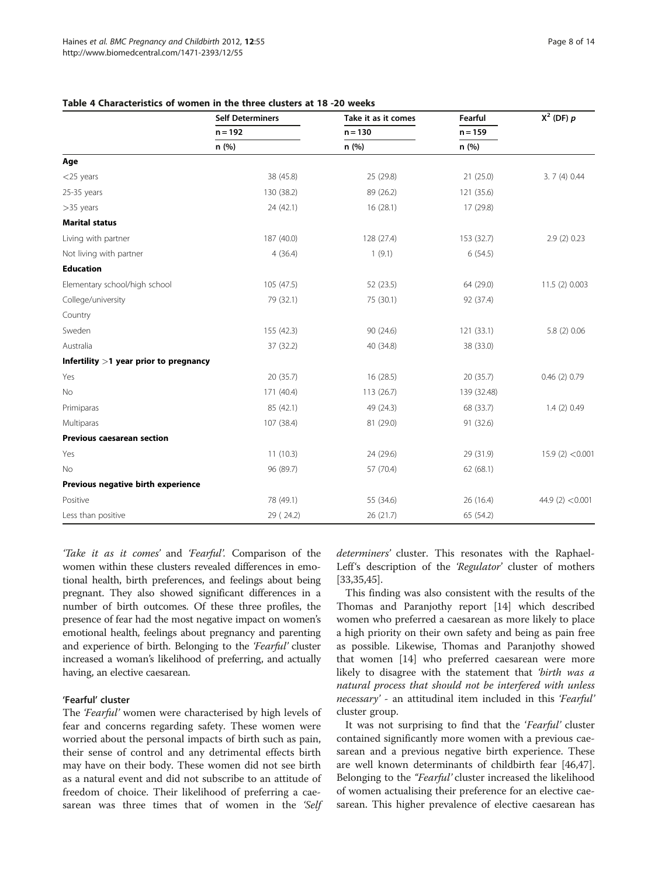<span id="page-7-0"></span>

|                                          | <b>Self Determiners</b> | Take it as it comes | Fearful     | $X^2$ (DF) $p$     |
|------------------------------------------|-------------------------|---------------------|-------------|--------------------|
|                                          | $n = 192$               | $n = 130$           | $n = 159$   |                    |
|                                          | n(%)                    | n(%)                | n (%)       |                    |
| Age                                      |                         |                     |             |                    |
| $<$ 25 years                             | 38 (45.8)               | 25 (29.8)           | 21(25.0)    | 3.7(4)0.44         |
| 25-35 years                              | 130 (38.2)              | 89 (26.2)           | 121 (35.6)  |                    |
| >35 years                                | 24(42.1)                | 16(28.1)            | 17 (29.8)   |                    |
| <b>Marital status</b>                    |                         |                     |             |                    |
| Living with partner                      | 187 (40.0)              | 128 (27.4)          | 153 (32.7)  | 2.9(2)0.23         |
| Not living with partner                  | 4(36.4)                 | 1(9.1)              | 6(54.5)     |                    |
| <b>Education</b>                         |                         |                     |             |                    |
| Elementary school/high school            | 105 (47.5)              | 52 (23.5)           | 64 (29.0)   | 11.5 (2) 0.003     |
| College/university                       | 79 (32.1)               | 75 (30.1)           | 92 (37.4)   |                    |
| Country                                  |                         |                     |             |                    |
| Sweden                                   | 155 (42.3)              | 90 (24.6)           | 121 (33.1)  | 5.8 (2) 0.06       |
| Australia                                | 37 (32.2)               | 40 (34.8)           | 38 (33.0)   |                    |
| Infertility $>1$ year prior to pregnancy |                         |                     |             |                    |
| Yes                                      | 20 (35.7)               | 16 (28.5)           | 20 (35.7)   | 0.46 (2) 0.79      |
| No                                       | 171 (40.4)              | 113 (26.7)          | 139 (32.48) |                    |
| Primiparas                               | 85 (42.1)               | 49 (24.3)           | 68 (33.7)   | 1.4(2)0.49         |
| Multiparas                               | 107 (38.4)              | 81 (29.0)           | 91 (32.6)   |                    |
| <b>Previous caesarean section</b>        |                         |                     |             |                    |
| Yes                                      | 11(10.3)                | 24 (29.6)           | 29 (31.9)   | 15.9(2) < 0.001    |
| No                                       | 96 (89.7)               | 57 (70.4)           | 62(68.1)    |                    |
| Previous negative birth experience       |                         |                     |             |                    |
| Positive                                 | 78 (49.1)               | 55 (34.6)           | 26 (16.4)   | 44.9 (2) $<$ 0.001 |
| Less than positive                       | 29 (24.2)               | 26 (21.7)           | 65 (54.2)   |                    |

'Take it as it comes' and 'Fearful'. Comparison of the women within these clusters revealed differences in emotional health, birth preferences, and feelings about being pregnant. They also showed significant differences in a number of birth outcomes. Of these three profiles, the presence of fear had the most negative impact on women's emotional health, feelings about pregnancy and parenting and experience of birth. Belonging to the 'Fearful' cluster increased a woman's likelihood of preferring, and actually having, an elective caesarean.

## 'Fearful' cluster

The 'Fearful' women were characterised by high levels of fear and concerns regarding safety. These women were worried about the personal impacts of birth such as pain, their sense of control and any detrimental effects birth may have on their body. These women did not see birth as a natural event and did not subscribe to an attitude of freedom of choice. Their likelihood of preferring a caesarean was three times that of women in the 'Self determiners' cluster. This resonates with the Raphael-Leff's description of the 'Regulator' cluster of mothers [[33,](#page-12-0)[35,45](#page-13-0)].

This finding was also consistent with the results of the Thomas and Paranjothy report [\[14\]](#page-12-0) which described women who preferred a caesarean as more likely to place a high priority on their own safety and being as pain free as possible. Likewise, Thomas and Paranjothy showed that women [\[14](#page-12-0)] who preferred caesarean were more likely to disagree with the statement that 'birth was a natural process that should not be interfered with unless necessary' - an attitudinal item included in this 'Fearful' cluster group.

It was not surprising to find that the 'Fearful' cluster contained significantly more women with a previous caesarean and a previous negative birth experience. These are well known determinants of childbirth fear [[46](#page-13-0),[47](#page-13-0)]. Belonging to the "Fearful' cluster increased the likelihood of women actualising their preference for an elective caesarean. This higher prevalence of elective caesarean has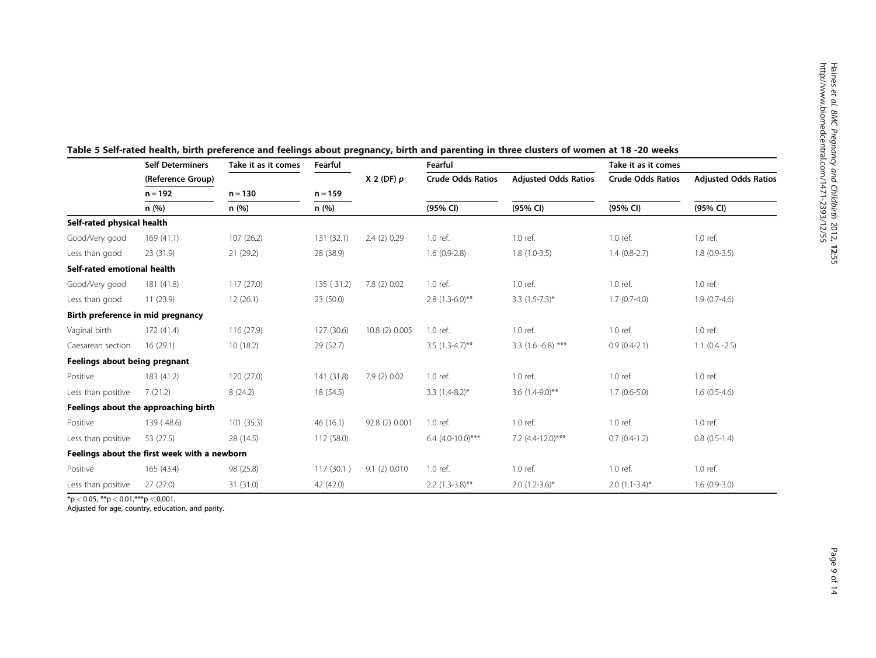|                                   | <b>Self Determiners</b>                      | Fearful<br>Fearful<br>Take it as it comes |            |                | Take it as it comes      |                             |                          |                                         |
|-----------------------------------|----------------------------------------------|-------------------------------------------|------------|----------------|--------------------------|-----------------------------|--------------------------|-----------------------------------------|
|                                   | (Reference Group)                            |                                           |            | X 2 (DF) p     | <b>Crude Odds Ratios</b> | <b>Adjusted Odds Ratios</b> | <b>Crude Odds Ratios</b> | <b>Adjusted Odds Ratios</b><br>(95% CI) |
|                                   | $n = 192$                                    | $n = 130$                                 | $n = 159$  |                |                          |                             |                          |                                         |
|                                   | n (%)                                        | n(%)                                      | n(%)       |                | (95% CI)                 | (95% CI)                    | (95% CI)                 |                                         |
| Self-rated physical health        |                                              |                                           |            |                |                          |                             |                          |                                         |
| Good/Very good                    | 169(41.1)                                    | 107(26.2)                                 | 131 (32.1) | 2.4(2)0.29     | 1.0 ref.                 | 1.0 ref.                    | 1.0 ref.                 | 1.0 ref.                                |
| Less than good                    | 23 (31.9)                                    | 21(29.2)                                  | 28 (38.9)  |                | $1.6(0.9-2.8)$           | $1.8(1.0-3.5)$              | $1.4(0.8-2.7)$           | $1.8(0.9-3.5)$                          |
| Self-rated emotional health       |                                              |                                           |            |                |                          |                             |                          |                                         |
| Good/Very good                    | 181 (41.8)                                   | 117(27.0)                                 | 135 (31.2) | 7.8 (2) 0.02   | 1.0 ref.                 | 1.0 ref.                    | 1.0 ref.                 | 1.0 ref.                                |
| Less than good                    | 11(23.9)                                     | 12(26.1)                                  | 23 (50.0)  |                | $2.8$ (1.3-6.0)**        | $3.3$ $(1.5-7.3)$ *         | $1.7(0.7-4.0)$           | $1.9(0.7-4.6)$                          |
| Birth preference in mid pregnancy |                                              |                                           |            |                |                          |                             |                          |                                         |
| Vaginal birth                     | 172 (41.4)                                   | 116 (27.9)                                | 127 (30.6) | 10.8 (2) 0.005 | 1.0 ref.                 | 1.0 ref.                    | 1.0 ref.                 | 1.0 ref.                                |
| Caesarean section                 | 16(29.1)                                     | 10(18.2)                                  | 29 (52.7)  |                | $3.5(1.3-4.7)$ **        | $3.3$ (1.6 -6.8) ***        | $0.9(0.4-2.1)$           | $1.1$ (0.4 -2.5)                        |
| Feelings about being pregnant     |                                              |                                           |            |                |                          |                             |                          |                                         |
| Positive                          | 183 (41.2)                                   | 120 (27.0)                                | 141 (31.8) | 7.9 (2) 0.02   | 1.0 ref.                 | 1.0 ref.                    | 1.0 ref.                 | 1.0 ref.                                |
| Less than positive                | 7(21.2)                                      | 8(24.2)                                   | 18 (54.5)  |                | $3.3(1.4-8.2)^{*}$       | 3.6 $(1.4-9.0)$ **          | $1.7(0.6-5.0)$           | $1.6(0.5-4.6)$                          |
|                                   | Feelings about the approaching birth         |                                           |            |                |                          |                             |                          |                                         |
| Positive                          | 139 (48.6)                                   | 101(35.3)                                 | 46(16.1)   | 92.8 (2) 0.001 | 1.0 ref.                 | 1.0 ref.                    | 1.0 ref.                 | 1.0 ref.                                |
| Less than positive                | 53 (27.5)                                    | 28 (14.5)                                 | 112(58.0)  |                | 6.4 $(4.0-10.0)$ ***     | 7.2 $(4.4-12.0)$ ***        | $0.7(0.4-1.2)$           | $0.8(0.5-1.4)$                          |
|                                   | Feelings about the first week with a newborn |                                           |            |                |                          |                             |                          |                                         |
| Positive                          | 165 (43.4)                                   | 98 (25.8)                                 | 117(30.1)  | 9.1(2)0.010    | 1.0 ref.                 | 1.0 ref.                    | 1.0 ref.                 | 1.0 ref.                                |
| Less than positive                | 27(27.0)                                     | 31 (31.0)                                 | 42 (42.0)  |                | $2.2$ (1.3-3.8)**        | $2.0(1.2-3.6)$ *            | $2.0(1.1-3.4)$ *         | $1.6(0.9-3.0)$                          |

## <span id="page-8-0"></span>Table 5 Self-rated health, birth preference and feelings about pregnancy, birth and parenting in three clusters of women at 18 -20 weeks

 $\frac{1}{2}$  \*p < 0.05, \*\*p < 0.01, \*\*\*p < 0.001.

Adjusted for age, country, education, and parity.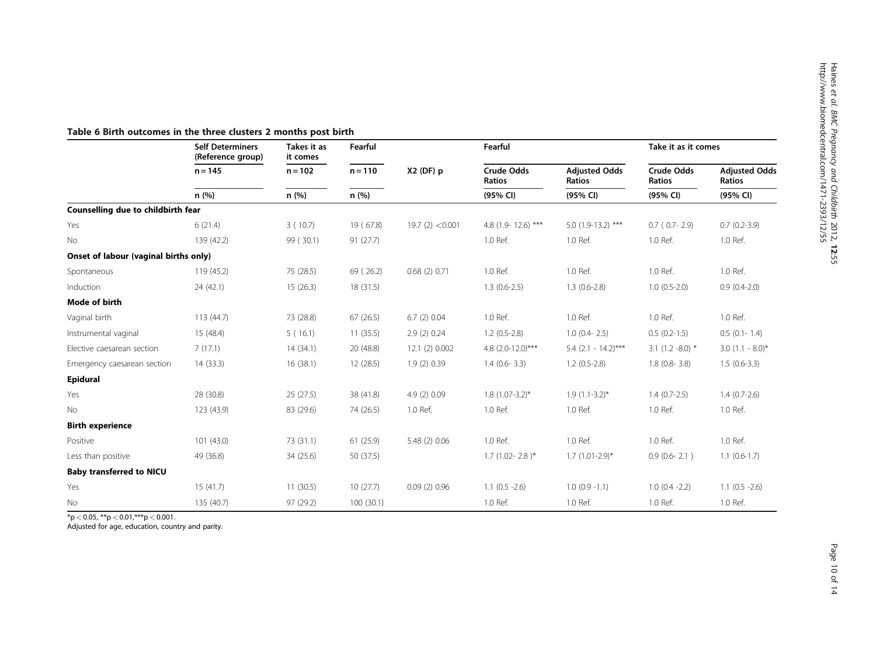## <span id="page-9-0"></span>Table 6 Birth outcomes in the three clusters 2 months post birth

|                                       | <b>Self Determiners</b><br>(Reference group) | Takes it as<br>it comes | Fearful    |                 | Fearful                     |                                | Take it as it comes   |                                |
|---------------------------------------|----------------------------------------------|-------------------------|------------|-----------------|-----------------------------|--------------------------------|-----------------------|--------------------------------|
|                                       | $n = 145$                                    | $n = 102$               | $n = 110$  | $X2$ (DF) $p$   | <b>Crude Odds</b><br>Ratios | <b>Adjusted Odds</b><br>Ratios | Crude Odds<br>Ratios  | <b>Adjusted Odds</b><br>Ratios |
|                                       | n (%)                                        | n (%)                   | n(%)       |                 | (95% CI)                    | (95% CI)                       | (95% CI)              | (95% CI)                       |
| Counselling due to childbirth fear    |                                              |                         |            |                 |                             |                                |                       |                                |
| Yes                                   | 6(21.4)                                      | 3(10.7)                 | 19 (67.8)  | 19.7(2) < 0.001 | 4.8 (1.9-12.6) ***          | $5.0(1.9-13.2)$ ***            | $0.7$ ( $0.7 - 2.9$ ) | $0.7(0.2-3.9)$                 |
| No                                    | 139 (42.2)                                   | 99 (30.1)               | 91(27.7)   |                 | 1.0 Ref.                    | 1.0 Ref.                       | 1.0 Ref.              | 1.0 Ref.                       |
| Onset of labour (vaginal births only) |                                              |                         |            |                 |                             |                                |                       |                                |
| Spontaneous                           | 119 (45.2)                                   | 75 (28.5)               | 69 (26.2)  | 0.68(2) 0.71    | 1.0 Ref.                    | 1.0 Ref.                       | 1.0 Ref.              | 1.0 Ref.                       |
| Induction                             | 24(42.1)                                     | 15(26.3)                | 18(31.5)   |                 | $1.3(0.6-2.5)$              | $1.3(0.6-2.8)$                 | $1.0(0.5-2.0)$        | $0.9(0.4-2.0)$                 |
| Mode of birth                         |                                              |                         |            |                 |                             |                                |                       |                                |
| Vaginal birth                         | 113(44.7)                                    | 73 (28.8)               | 67(26.5)   | 6.7(2)0.04      | 1.0 Ref.                    | 1.0 Ref.                       | 1.0 Ref.              | 1.0 Ref.                       |
| Instrumental vaginal                  | 15 (48.4)                                    | 5(16.1)                 | 11(35.5)   | 2.9(2)0.24      | $1.2(0.5-2.8)$              | $1.0$ (0.4- 2.5)               | $0.5(0.2-1.5)$        | $0.5$ (0.1-1.4)                |
| Elective caesarean section            | 7(17.1)                                      | 14(34.1)                | 20 (48.8)  | 12.1 (2) 0.002  | 4.8 $(2.0-12.0)$ ***        | $5.4$ (2.1 - 14.2)***          | $3.1$ (1.2 -8.0) *    | $3.0$ (1.1 - 8.0)*             |
| Emergency caesarean section           | 14(33.3)                                     | 16(38.1)                | 12(28.5)   | 1.9(2)0.39      | $1.4$ (0.6-3.3)             | $1.2(0.5-2.8)$                 | $1.8$ (0.8-3.8)       | $1.5(0.6-3.3)$                 |
| <b>Epidural</b>                       |                                              |                         |            |                 |                             |                                |                       |                                |
| Yes                                   | 28 (30.8)                                    | 25(27.5)                | 38 (41.8)  | 4.9 (2) 0.09    | $1.8(1.07-3.2)$ *           | $1.9(1.1-3.2)$ *               | $1.4(0.7-2.5)$        | $1.4(0.7-2.6)$                 |
| No                                    | 123 (43.9)                                   | 83 (29.6)               | 74 (26.5)  | 1.0 Ref.        | 1.0 Ref.                    | 1.0 Ref.                       | 1.0 Ref.              | 1.0 Ref.                       |
| <b>Birth experience</b>               |                                              |                         |            |                 |                             |                                |                       |                                |
| Positive                              | 101(43.0)                                    | 73 (31.1)               | 61(25.9)   | 5.48 (2) 0.06   | 1.0 Ref.                    | 1.0 Ref.                       | 1.0 Ref.              | 1.0 Ref.                       |
| Less than positive                    | 49 (36.8)                                    | 34 (25.6)               | 50 (37.5)  |                 | $1.7$ (1.02-2.8)*           | $1.7(1.01-2.9)$ *              | $0.9$ (0.6-2.1)       | $1.1(0.6-1.7)$                 |
| <b>Baby transferred to NICU</b>       |                                              |                         |            |                 |                             |                                |                       |                                |
| Yes                                   | 15(41.7)                                     | 11(30.5)                | 10(27.7)   | 0.09(2)0.96     | $1.1$ (0.5 -2.6)            | $1.0(0.9 - 1.1)$               | $1.0(0.4 - 2.2)$      | $1.1$ (0.5 -2.6)               |
| No                                    | 135 (40.7)                                   | 97 (29.2)               | 100 (30.1) |                 | 1.0 Ref.                    | 1.0 Ref.                       | 1.0 Ref.              | 1.0 Ref.                       |

 $^*{\rm p}$   $<$  0.05,  $^{**}{\rm p}$   $<$  0.01, $^{***}{\rm p}$   $<$  0.001.

Adjusted for age, education, country and parity.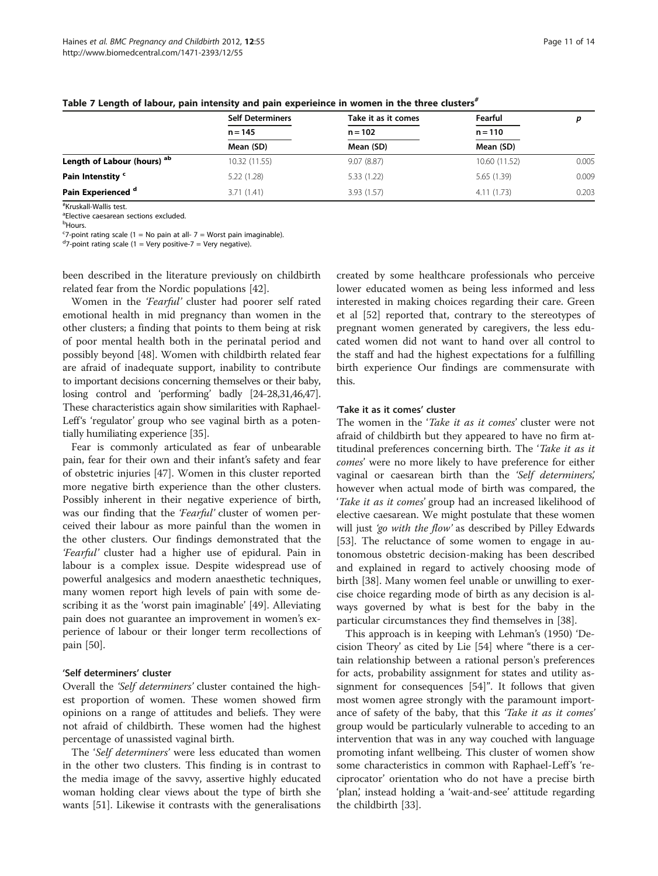|                               | <b>Self Determiners</b> | Take it as it comes | Fearful       | D     |
|-------------------------------|-------------------------|---------------------|---------------|-------|
|                               | $n = 145$               | $n = 102$           | $n = 110$     |       |
|                               | Mean (SD)               | Mean (SD)           | Mean (SD)     |       |
| Length of Labour (hours) ab   | 10.32 (11.55)           | 9.07(8.87)          | 10.60 (11.52) | 0.005 |
| Pain Intenstity c             | 5.22(1.28)              | 5.33(1.22)          | 5.65 (1.39)   | 0.009 |
| Pain Experienced <sup>d</sup> | 3.71(1.41)              | 3.93(1.57)          | 4.11(1.73)    | 0.203 |

<span id="page-10-0"></span>Table 7 Length of labour, pain intensity and pain experieince in women in the three clusters<sup>#</sup>

# Kruskall-Wallis test.

<sup>a</sup>Elective caesarean sections excluded.

<sup>b</sup>Hours.

<sup>c</sup>7-point rating scale (1 = No pain at all- 7 = Worst pain imaginable).

<sup>d</sup>7-point rating scale (1 = Very positive-7 = Very negative).

been described in the literature previously on childbirth related fear from the Nordic populations [[42\]](#page-13-0).

Women in the 'Fearful' cluster had poorer self rated emotional health in mid pregnancy than women in the other clusters; a finding that points to them being at risk of poor mental health both in the perinatal period and possibly beyond [[48](#page-13-0)]. Women with childbirth related fear are afraid of inadequate support, inability to contribute to important decisions concerning themselves or their baby, losing control and 'performing' badly [\[24-28,31,](#page-12-0)[46,47](#page-13-0)]. These characteristics again show similarities with Raphael-Leff's 'regulator' group who see vaginal birth as a potentially humiliating experience [[35](#page-13-0)].

Fear is commonly articulated as fear of unbearable pain, fear for their own and their infant's safety and fear of obstetric injuries [\[47](#page-13-0)]. Women in this cluster reported more negative birth experience than the other clusters. Possibly inherent in their negative experience of birth, was our finding that the 'Fearful' cluster of women perceived their labour as more painful than the women in the other clusters. Our findings demonstrated that the 'Fearful' cluster had a higher use of epidural. Pain in labour is a complex issue. Despite widespread use of powerful analgesics and modern anaesthetic techniques, many women report high levels of pain with some describing it as the 'worst pain imaginable' [[49](#page-13-0)]. Alleviating pain does not guarantee an improvement in women's experience of labour or their longer term recollections of pain [\[50](#page-13-0)].

## 'Self determiners' cluster

Overall the 'Self determiners' cluster contained the highest proportion of women. These women showed firm opinions on a range of attitudes and beliefs. They were not afraid of childbirth. These women had the highest percentage of unassisted vaginal birth.

The 'Self determiners' were less educated than women in the other two clusters. This finding is in contrast to the media image of the savvy, assertive highly educated woman holding clear views about the type of birth she wants [[51\]](#page-13-0). Likewise it contrasts with the generalisations created by some healthcare professionals who perceive lower educated women as being less informed and less interested in making choices regarding their care. Green et al [[52](#page-13-0)] reported that, contrary to the stereotypes of pregnant women generated by caregivers, the less educated women did not want to hand over all control to the staff and had the highest expectations for a fulfilling birth experience Our findings are commensurate with this.

## 'Take it as it comes' cluster

The women in the '*Take it as it comes'* cluster were not afraid of childbirth but they appeared to have no firm attitudinal preferences concerning birth. The 'Take it as it comes' were no more likely to have preference for either vaginal or caesarean birth than the 'Self determiners', however when actual mode of birth was compared, the 'Take it as it comes' group had an increased likelihood of elective caesarean. We might postulate that these women will just 'go with the flow' as described by Pilley Edwards [[53\]](#page-13-0). The reluctance of some women to engage in autonomous obstetric decision-making has been described and explained in regard to actively choosing mode of birth [[38](#page-13-0)]. Many women feel unable or unwilling to exercise choice regarding mode of birth as any decision is always governed by what is best for the baby in the particular circumstances they find themselves in [\[38](#page-13-0)].

This approach is in keeping with Lehman's (1950) 'Decision Theory' as cited by Lie [[54\]](#page-13-0) where "there is a certain relationship between a rational person's preferences for acts, probability assignment for states and utility assignment for consequences [[54](#page-13-0)]". It follows that given most women agree strongly with the paramount importance of safety of the baby, that this 'Take it as it comes' group would be particularly vulnerable to acceding to an intervention that was in any way couched with language promoting infant wellbeing. This cluster of women show some characteristics in common with Raphael-Leff's 'reciprocator' orientation who do not have a precise birth 'plan', instead holding a 'wait-and-see' attitude regarding the childbirth [\[33](#page-12-0)].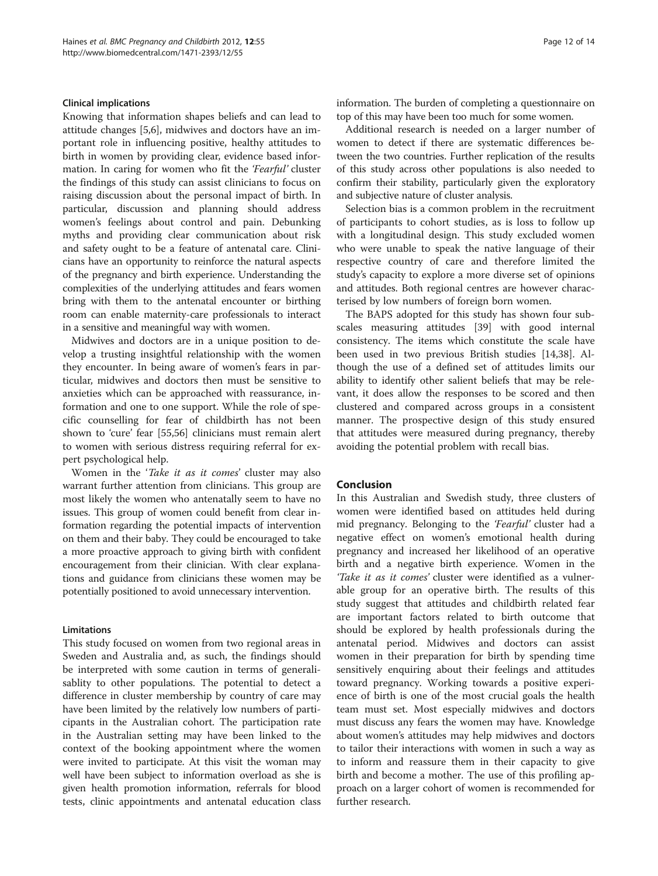## Clinical implications

Knowing that information shapes beliefs and can lead to attitude changes [[5](#page-12-0),[6](#page-12-0)], midwives and doctors have an important role in influencing positive, healthy attitudes to birth in women by providing clear, evidence based information. In caring for women who fit the 'Fearful' cluster the findings of this study can assist clinicians to focus on raising discussion about the personal impact of birth. In particular, discussion and planning should address women's feelings about control and pain. Debunking myths and providing clear communication about risk and safety ought to be a feature of antenatal care. Clinicians have an opportunity to reinforce the natural aspects of the pregnancy and birth experience. Understanding the complexities of the underlying attitudes and fears women bring with them to the antenatal encounter or birthing room can enable maternity-care professionals to interact in a sensitive and meaningful way with women.

Midwives and doctors are in a unique position to develop a trusting insightful relationship with the women they encounter. In being aware of women's fears in particular, midwives and doctors then must be sensitive to anxieties which can be approached with reassurance, information and one to one support. While the role of specific counselling for fear of childbirth has not been shown to 'cure' fear [[55](#page-13-0),[56](#page-13-0)] clinicians must remain alert to women with serious distress requiring referral for expert psychological help.

Women in the 'Take it as it comes' cluster may also warrant further attention from clinicians. This group are most likely the women who antenatally seem to have no issues. This group of women could benefit from clear information regarding the potential impacts of intervention on them and their baby. They could be encouraged to take a more proactive approach to giving birth with confident encouragement from their clinician. With clear explanations and guidance from clinicians these women may be potentially positioned to avoid unnecessary intervention.

#### Limitations

This study focused on women from two regional areas in Sweden and Australia and, as such, the findings should be interpreted with some caution in terms of generalisablity to other populations. The potential to detect a difference in cluster membership by country of care may have been limited by the relatively low numbers of participants in the Australian cohort. The participation rate in the Australian setting may have been linked to the context of the booking appointment where the women were invited to participate. At this visit the woman may well have been subject to information overload as she is given health promotion information, referrals for blood tests, clinic appointments and antenatal education class information. The burden of completing a questionnaire on top of this may have been too much for some women.

Additional research is needed on a larger number of women to detect if there are systematic differences between the two countries. Further replication of the results of this study across other populations is also needed to confirm their stability, particularly given the exploratory and subjective nature of cluster analysis.

Selection bias is a common problem in the recruitment of participants to cohort studies, as is loss to follow up with a longitudinal design. This study excluded women who were unable to speak the native language of their respective country of care and therefore limited the study's capacity to explore a more diverse set of opinions and attitudes. Both regional centres are however characterised by low numbers of foreign born women.

The BAPS adopted for this study has shown four subscales measuring attitudes [\[39](#page-13-0)] with good internal consistency. The items which constitute the scale have been used in two previous British studies [[14](#page-12-0)[,38](#page-13-0)]. Although the use of a defined set of attitudes limits our ability to identify other salient beliefs that may be relevant, it does allow the responses to be scored and then clustered and compared across groups in a consistent manner. The prospective design of this study ensured that attitudes were measured during pregnancy, thereby avoiding the potential problem with recall bias.

## Conclusion

In this Australian and Swedish study, three clusters of women were identified based on attitudes held during mid pregnancy. Belonging to the 'Fearful' cluster had a negative effect on women's emotional health during pregnancy and increased her likelihood of an operative birth and a negative birth experience. Women in the 'Take it as it comes' cluster were identified as a vulnerable group for an operative birth. The results of this study suggest that attitudes and childbirth related fear are important factors related to birth outcome that should be explored by health professionals during the antenatal period. Midwives and doctors can assist women in their preparation for birth by spending time sensitively enquiring about their feelings and attitudes toward pregnancy. Working towards a positive experience of birth is one of the most crucial goals the health team must set. Most especially midwives and doctors must discuss any fears the women may have. Knowledge about women's attitudes may help midwives and doctors to tailor their interactions with women in such a way as to inform and reassure them in their capacity to give birth and become a mother. The use of this profiling approach on a larger cohort of women is recommended for further research.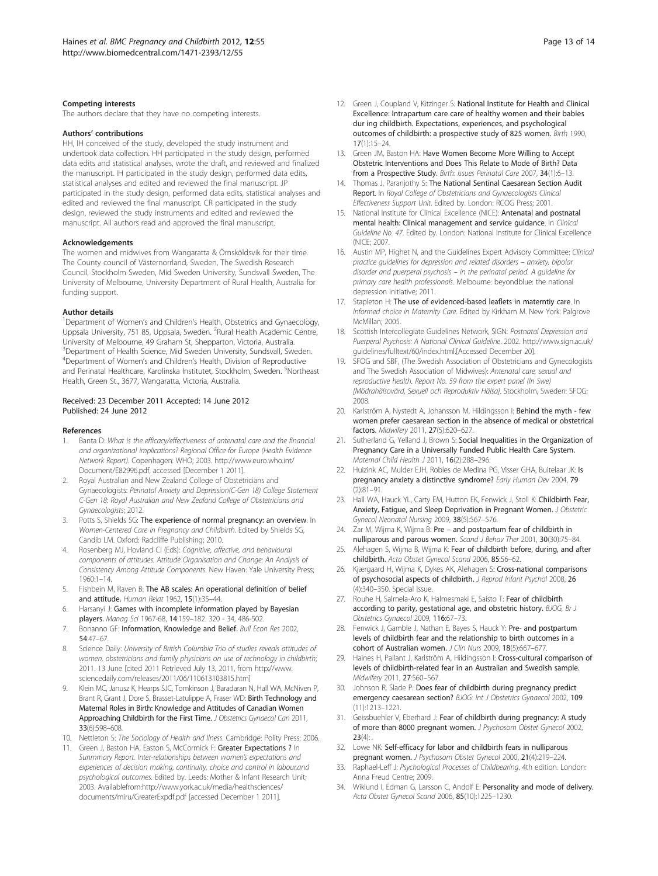#### <span id="page-12-0"></span>Competing interests

The authors declare that they have no competing interests.

#### Authors' contributions

HH, IH conceived of the study, developed the study instrument and undertook data collection. HH participated in the study design, performed data edits and statistical analyses, wrote the draft, and reviewed and finalized the manuscript. IH participated in the study design, performed data edits, statistical analyses and edited and reviewed the final manuscript. JP participated in the study design, performed data edits, statistical analyses and edited and reviewed the final manuscript. CR participated in the study design, reviewed the study instruments and edited and reviewed the manuscript. All authors read and approved the final manuscript.

#### Acknowledgements

The women and midwives from Wangaratta & Örnsköldsvik for their time. The County council of Västernorrland, Sweden, The Swedish Research Council, Stockholm Sweden, Mid Sweden University, Sundsvall Sweden, The University of Melbourne, University Department of Rural Health, Australia for funding support.

#### Author details

<sup>1</sup>Department of Women's and Children's Health, Obstetrics and Gynaecology, Uppsala University, 751 85, Uppsala, Sweden. <sup>2</sup>Rural Health Academic Centre, University of Melbourne, 49 Graham St, Shepparton, Victoria, Australia. <sup>3</sup>Department of Health Science, Mid Sweden University, Sundsvall, Sweden. 4 Department of Women's and Children's Health, Division of Reproductive and Perinatal Healthcare, Karolinska Institutet, Stockholm, Sweden. <sup>5</sup>Northeast Health, Green St., 3677, Wangaratta, Victoria, Australia.

#### Received: 23 December 2011 Accepted: 14 June 2012 Published: 24 June 2012

#### References

- Banta D: What is the efficacy/effectiveness of antenatal care and the financial and organizational implications? Regional Office for Europe (Health Evidence Network Report). Copenhagen: WHO; 2003. [http://www.euro.who.int/](http://www.euro.who.int/Document/E82996.pdf) [Document/E82996.pdf](http://www.euro.who.int/Document/E82996.pdf), accessed [December 1 2011].
- 2. Royal Australian and New Zealand College of Obstetricians and Gynaecologists: Perinatal Anxiety and Depression(C-Gen 18) College Statement C-Gen 18: Royal Australian and New Zealand College of Obstetricians and Gynaecologists; 2012.
- Potts S, Shields SG: The experience of normal pregnancy: an overview. In Women-Centered Care in Pregnancy and Childbirth. Edited by Shields SG, Candib LM. Oxford: Radcliffe Publishing; 2010.
- 4. Rosenberg MJ, Hovland CI (Eds): Cognitive, affective, and behavioural components of attitudes. Attitude Organisation and Change: An Analysis of Consistency Among Attitude Components. New Haven: Yale University Press; 1960:1–14.
- Fishbein M, Raven B: The AB scales: An operational definition of belief and attitude. Human Relat 1962, 15(1):35–44.
- 6. Harsanyi J: Games with incomplete information played by Bayesian players. Manag Sci 1967-68, 14:159–182. 320 - 34, 486-502.
- 7. Bonanno GF: Information, Knowledge and Belief. Bull Econ Res 2002, 54:47–67.
- 8. Science Daily: University of British Columbia Trio of studies reveals attitudes of women, obstetricians and family physicians on use of technology in childbirth; 2011. 13 June [cited 2011 Retrieved July 13, 2011, from [http://www.](http://www.sciencedaily.com/releases/2011/06/110613103815.htm) [sciencedaily.com/releases/2011/06/110613103815.htm](http://www.sciencedaily.com/releases/2011/06/110613103815.htm)]
- Klein MC, Janusz K, Hearps SJC, Tomkinson J, Baradaran N, Hall WA, McNiven P, Brant R, Grant J, Dore S, Brasset-Latulippe A, Fraser WD: Birth Technology and Maternal Roles in Birth: Knowledge and Attitudes of Canadian Women Approaching Childbirth for the First Time. J Obstetrics Gynaecol Can 2011, 33(6):598–608.
- 10. Nettleton S: The Sociology of Health and Ilness. Cambridge: Polity Press; 2006.
- 11. Green J, Baston HA, Easton S, McCormick F: Greater Expectations ? In Sunmmary Report. Inter-relationships between women's expectations and experiences of decision making, continuity, choice and control in labour,and psychological outcomes. Edited by. Leeds: Mother & Infant Research Unit; 2003. Availablefrom:[http://www.york.ac.uk/media/healthsciences/](http://www.york.ac.uk/media/healthsciences/documents/miru/GreaterExpdf.pdf) [documents/miru/GreaterExpdf.pdf](http://www.york.ac.uk/media/healthsciences/documents/miru/GreaterExpdf.pdf) [accessed December 1 2011].
- 12. Green J, Coupland V, Kitzinger S: National Institute for Health and Clinical Excellence: Intrapartum care care of healthy women and their babies dur ing childbirth. Expectations, experiences, and psychological outcomes of childbirth: a prospective study of 825 women. Birth 1990, 17(1):15–24.
- 13. Green JM, Baston HA: Have Women Become More Willing to Accept Obstetric Interventions and Does This Relate to Mode of Birth? Data from a Prospective Study. Birth: Issues Perinatal Care 2007, 34(1):6–13.
- 14. Thomas J, Paranjothy S: The National Sentinal Caesarean Section Audit Report. In Royal College of Obstetricians and Gynaecologists Clinical Effectiveness Support Unit. Edited by. London: RCOG Press; 2001.
- 15. National Institute for Clinical Excellence (NICE): Antenatal and postnatal mental health: Clinical management and service guidance. In Clinical Guideline No. 47. Edited by. London: National Institute for Clinical Excellence (NICE; 2007.
- 16. Austin MP, Highet N, and the Guidelines Expert Advisory Committee: Clinical practice guidelines for depression and related disorders – anxiety, bipolar disorder and puerperal psychosis – in the perinatal period. A guideline for primary care health professionals. Melbourne: beyondblue: the national depression initiative; 2011.
- 17. Stapleton H: The use of evidenced-based leaflets in materntiy care. In Informed choice in Maternity Care. Edited by Kirkham M. New York: Palgrove McMillan; 2005.
- 18. Scottish Intercollegiate Guidelines Network, SIGN: Postnatal Depression and Puerperal Psychosis: A National Clinical Guideline. 2002. [http://www.sign.ac.uk/](http://www.sign.ac.uk/guidelines/fulltext/60/index.html) [guidelines/fulltext/60/index.html.](http://www.sign.ac.uk/guidelines/fulltext/60/index.html)[Accessed December 20].
- 19. SFOG and SBF, (The Swedish Association of Obstetricians and Gynecologists and The Swedish Association of Midwives): Antenatal care, sexual and reproductive health. Report No. 59 from the expert panel (In Swe) [Mödrahälsovård, Sexuell och Reproduktiv Hälsa]. Stockholm, Sweden: SFOG; 2008.
- 20. Karlström A, Nystedt A, Johansson M, Hildingsson I: Behind the myth few women prefer caesarean section in the absence of medical or obstetrical factors. Midwifery 2011, 27(5):620–627.
- 21. Sutherland G, Yelland J, Brown S: Social Inequalities in the Organization of Pregnancy Care in a Universally Funded Public Health Care System. Maternal Child Health J 2011, 16(2):288-296.
- 22. Huizink AC, Mulder EJH, Robles de Medina PG, Visser GHA, Buitelaar JK: Is pregnancy anxiety a distinctive syndrome? Early Human Dev 2004, 79 (2):81–91.
- 23. Hall WA, Hauck YL, Carty EM, Hutton EK, Fenwick J, Stoll K: Childbirth Fear, Anxiety, Fatigue, and Sleep Deprivation in Pregnant Women. J Obstetric Gynecol Neonatal Nursing 2009, 38(5):567–576.
- 24. Zar M, Wijma K, Wijma B: Pre and postpartum fear of childbirth in nulliparous and parous women. Scand J Behav Ther 2001, 30(30):75–84.
- 25. Alehagen S, Wijma B, Wijma K: Fear of childbirth before, during, and after childbirth. Acta Obstet Gynecol Scand 2006, 85:56–62.
- 26. Kjærgaard H, Wijma K, Dykes AK, Alehagen S: Cross-national comparisons of psychosocial aspects of childbirth. J Reprod Infant Psychol 2008, 26 (4):340–350. Special Issue.
- 27. Rouhe H, Salmela-Aro K, Halmesmaki E, Saisto T: Fear of childbirth according to parity, gestational age, and obstetric history. BJOG, Br J Obstetrics Gynaecol 2009, 116:67–73.
- 28. Fenwick J, Gamble J, Nathan E, Bayes S, Hauck Y: Pre- and postpartum levels of childbirth fear and the relationship to birth outcomes in a cohort of Australian women. J Clin Nurs 2009, 18(5):667-677.
- 29. Haines H, Pallant J, Karlström A, Hildingsson I: Cross-cultural comparison of levels of childbirth-related fear in an Australian and Swedish sample. Midwifery 2011, 27:560–567.
- 30. Johnson R, Slade P: Does fear of childbirth during pregnancy predict emergency caesarean section? BJOG: Int J Obstetrics Gynaecol 2002, 109 (11):1213–1221.
- 31. Geissbuehler V, Eberhard J: Fear of childbirth during pregnancy: A study of more than 8000 pregnant women. J Psychosom Obstet Gynecol 2002,  $23(4)$ :
- 32. Lowe NK: Self-efficacy for labor and childbirth fears in nulliparous pregnant women. J Psychosom Obstet Gynecol 2000, 21(4):219–224.
- 33. Raphael-Leff J: Psychological Processes of Childbearing. 4th edition. London: Anna Freud Centre; 2009.
- 34. Wiklund I, Edman G, Larsson C, Andolf E: Personality and mode of delivery. Acta Obstet Gynecol Scand 2006, 85(10):1225–1230.